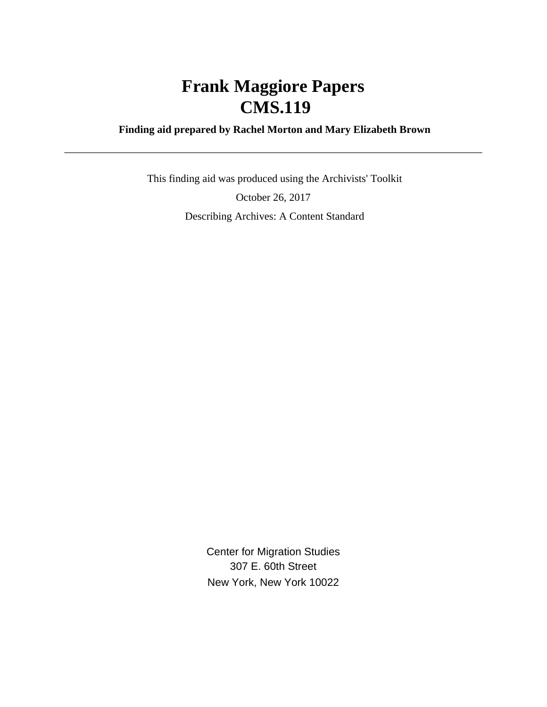# **Frank Maggiore Papers CMS.119**

## **Finding aid prepared by Rachel Morton and Mary Elizabeth Brown**

 This finding aid was produced using the Archivists' Toolkit October 26, 2017 Describing Archives: A Content Standard

> Center for Migration Studies 307 E. 60th Street New York, New York 10022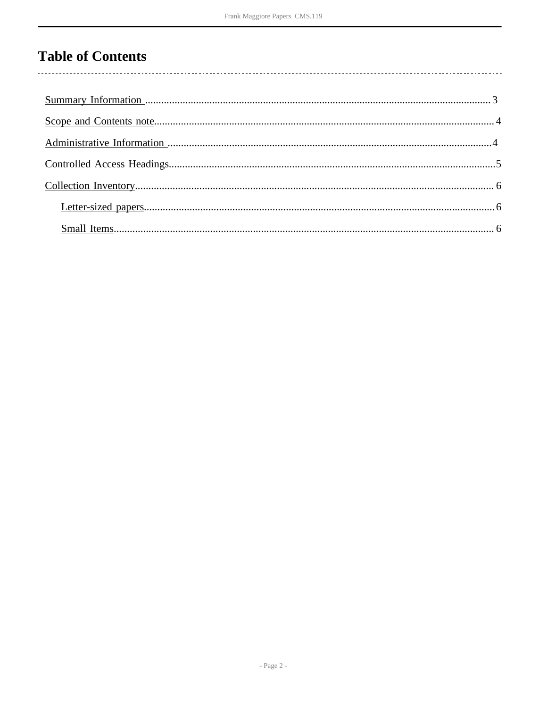# **Table of Contents**

 $\overline{\phantom{a}}$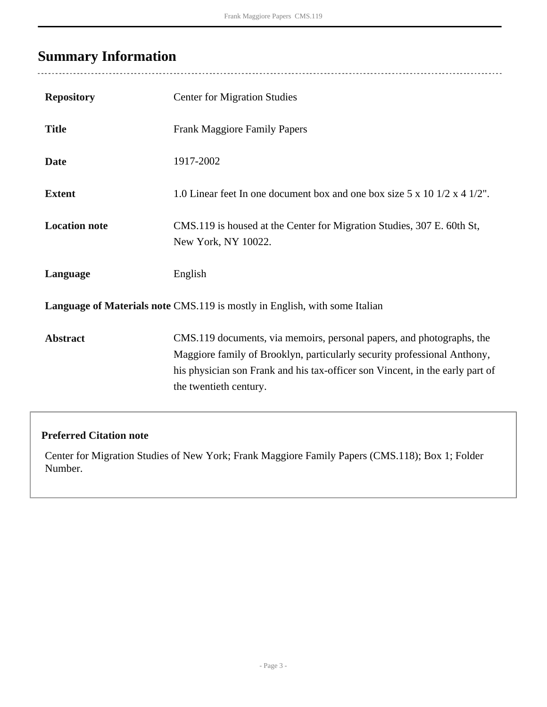# <span id="page-2-0"></span>**Summary Information**

| <b>Repository</b>                                                          | <b>Center for Migration Studies</b>                                                                                                                                                                                                                          |  |  |  |
|----------------------------------------------------------------------------|--------------------------------------------------------------------------------------------------------------------------------------------------------------------------------------------------------------------------------------------------------------|--|--|--|
| <b>Title</b>                                                               | <b>Frank Maggiore Family Papers</b>                                                                                                                                                                                                                          |  |  |  |
| <b>Date</b>                                                                | 1917-2002                                                                                                                                                                                                                                                    |  |  |  |
| <b>Extent</b>                                                              | 1.0 Linear feet In one document box and one box size $5 \times 10$ 1/2 $\times$ 4 1/2".                                                                                                                                                                      |  |  |  |
| <b>Location note</b>                                                       | CMS.119 is housed at the Center for Migration Studies, 307 E. 60th St,<br>New York, NY 10022.                                                                                                                                                                |  |  |  |
| Language                                                                   | English                                                                                                                                                                                                                                                      |  |  |  |
| Language of Materials note CMS.119 is mostly in English, with some Italian |                                                                                                                                                                                                                                                              |  |  |  |
| <b>Abstract</b>                                                            | CMS.119 documents, via memoirs, personal papers, and photographs, the<br>Maggiore family of Brooklyn, particularly security professional Anthony,<br>his physician son Frank and his tax-officer son Vincent, in the early part of<br>the twentieth century. |  |  |  |

## **Preferred Citation note**

Center for Migration Studies of New York; Frank Maggiore Family Papers (CMS.118); Box 1; Folder Number.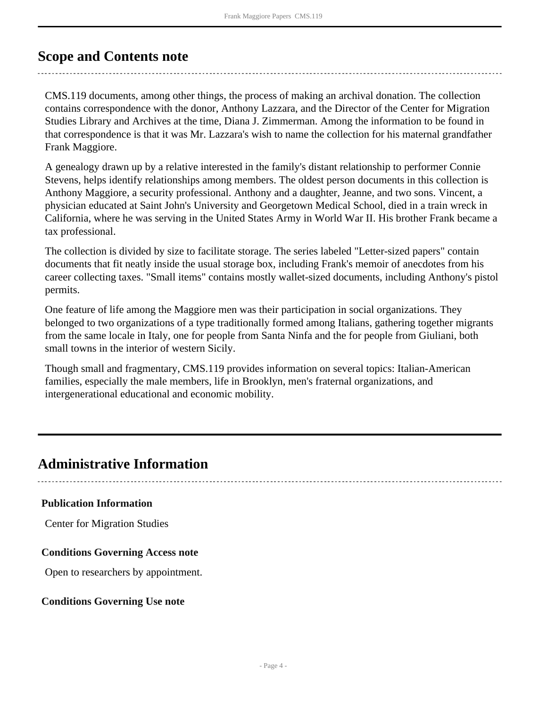# <span id="page-3-0"></span>**Scope and Contents note**

CMS.119 documents, among other things, the process of making an archival donation. The collection contains correspondence with the donor, Anthony Lazzara, and the Director of the Center for Migration Studies Library and Archives at the time, Diana J. Zimmerman. Among the information to be found in that correspondence is that it was Mr. Lazzara's wish to name the collection for his maternal grandfather Frank Maggiore.

A genealogy drawn up by a relative interested in the family's distant relationship to performer Connie Stevens, helps identify relationships among members. The oldest person documents in this collection is Anthony Maggiore, a security professional. Anthony and a daughter, Jeanne, and two sons. Vincent, a physician educated at Saint John's University and Georgetown Medical School, died in a train wreck in California, where he was serving in the United States Army in World War II. His brother Frank became a tax professional.

The collection is divided by size to facilitate storage. The series labeled "Letter-sized papers" contain documents that fit neatly inside the usual storage box, including Frank's memoir of anecdotes from his career collecting taxes. "Small items" contains mostly wallet-sized documents, including Anthony's pistol permits.

One feature of life among the Maggiore men was their participation in social organizations. They belonged to two organizations of a type traditionally formed among Italians, gathering together migrants from the same locale in Italy, one for people from Santa Ninfa and the for people from Giuliani, both small towns in the interior of western Sicily.

Though small and fragmentary, CMS.119 provides information on several topics: Italian-American families, especially the male members, life in Brooklyn, men's fraternal organizations, and intergenerational educational and economic mobility.

# <span id="page-3-1"></span>**Administrative Information**

#### **Publication Information**

Center for Migration Studies

#### **Conditions Governing Access note**

Open to researchers by appointment.

#### **Conditions Governing Use note**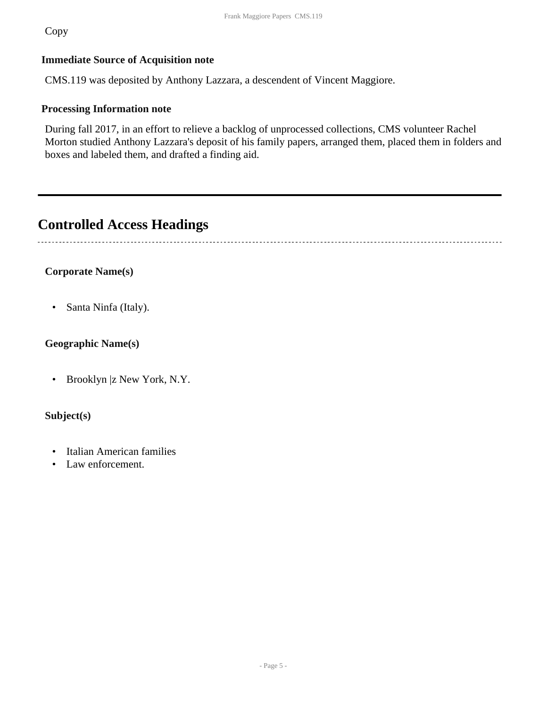Copy

### **Immediate Source of Acquisition note**

CMS.119 was deposited by Anthony Lazzara, a descendent of Vincent Maggiore.

### **Processing Information note**

During fall 2017, in an effort to relieve a backlog of unprocessed collections, CMS volunteer Rachel Morton studied Anthony Lazzara's deposit of his family papers, arranged them, placed them in folders and boxes and labeled them, and drafted a finding aid.

# <span id="page-4-0"></span>**Controlled Access Headings**

 $\sim$ 

## **Corporate Name(s)**

• Santa Ninfa (Italy).

### **Geographic Name(s)**

• Brooklyn |z New York, N.Y.

### **Subject(s)**

- Italian American families
- Law enforcement.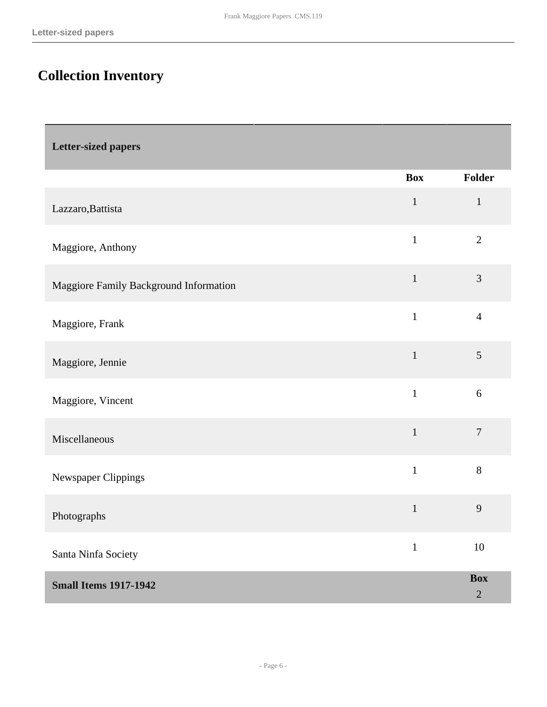# <span id="page-5-0"></span>**Collection Inventory**

<span id="page-5-2"></span><span id="page-5-1"></span>

| Letter-sized papers                    |              |                          |
|----------------------------------------|--------------|--------------------------|
|                                        | <b>Box</b>   | Folder                   |
| Lazzaro, Battista                      | $\mathbf 1$  | $\mathbf{1}$             |
| Maggiore, Anthony                      | $\mathbf{1}$ | $\overline{2}$           |
| Maggiore Family Background Information | $\mathbf{1}$ | 3                        |
| Maggiore, Frank                        | $\mathbf{1}$ | $\overline{4}$           |
| Maggiore, Jennie                       | $\mathbf{1}$ | 5                        |
| Maggiore, Vincent                      | $\mathbf{1}$ | 6                        |
| Miscellaneous                          | $\mathbf{1}$ | $\overline{7}$           |
| Newspaper Clippings                    | $\mathbf{1}$ | $8\,$                    |
| Photographs                            | $\mathbf{1}$ | $\mathbf{9}$             |
| Santa Ninfa Society                    | $\mathbf{1}$ | $10\,$                   |
| <b>Small Items 1917-1942</b>           |              | <b>Box</b><br>$\sqrt{2}$ |